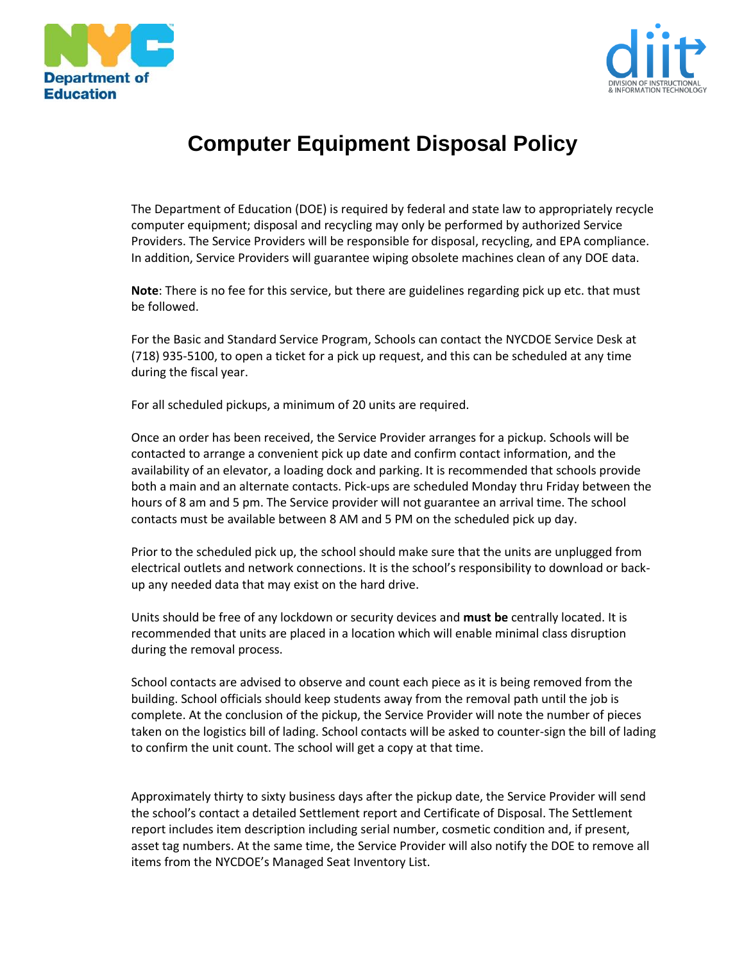



## **Computer Equipment Disposal Policy**

The Department of Education (DOE) is required by federal and state law to appropriately recycle computer equipment; disposal and recycling may only be performed by authorized Service Providers. The Service Providers will be responsible for disposal, recycling, and EPA compliance. In addition, Service Providers will guarantee wiping obsolete machines clean of any DOE data.

**Note**: There is no fee for this service, but there are guidelines regarding pick up etc. that must be followed.

For the Basic and Standard Service Program, Schools can contact the NYCDOE Service Desk at (718) 935-5100, to open a ticket for a pick up request, and this can be scheduled at any time during the fiscal year.

For all scheduled pickups, a minimum of 20 units are required.

Once an order has been received, the Service Provider arranges for a pickup. Schools will be contacted to arrange a convenient pick up date and confirm contact information, and the availability of an elevator, a loading dock and parking. It is recommended that schools provide both a main and an alternate contacts. Pick-ups are scheduled Monday thru Friday between the hours of 8 am and 5 pm. The Service provider will not guarantee an arrival time. The school contacts must be available between 8 AM and 5 PM on the scheduled pick up day.

Prior to the scheduled pick up, the school should make sure that the units are unplugged from electrical outlets and network connections. It is the school's responsibility to download or backup any needed data that may exist on the hard drive.

Units should be free of any lockdown or security devices and **must be** centrally located. It is recommended that units are placed in a location which will enable minimal class disruption during the removal process.

School contacts are advised to observe and count each piece as it is being removed from the building. School officials should keep students away from the removal path until the job is complete. At the conclusion of the pickup, the Service Provider will note the number of pieces taken on the logistics bill of lading. School contacts will be asked to counter-sign the bill of lading to confirm the unit count. The school will get a copy at that time.

Approximately thirty to sixty business days after the pickup date, the Service Provider will send the school's contact a detailed Settlement report and Certificate of Disposal. The Settlement report includes item description including serial number, cosmetic condition and, if present, asset tag numbers. At the same time, the Service Provider will also notify the DOE to remove all items from the NYCDOE's Managed Seat Inventory List.